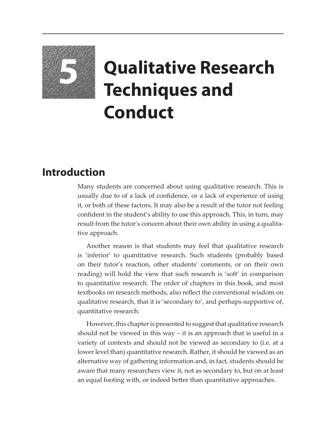

## **5 Qualitative Research Techniques and Conduct**

## **Introduction**

Many students are concerned about using qualitative research. This is usually due to of a lack of confidence, or a lack of experience of using it, or both of these factors. It may also be a result of the tutor not feeling confident in the student's ability to use this approach. This, in turn, may result from the tutor's concern about their own ability in using a qualitative approach.

Another reason is that students may feel that qualitative research is 'inferior' to quantitative research. Such students (probably based on their tutor's reaction, other students' comments, or on their own reading) will hold the view that such research is 'soft' in comparison to quantitative research. The order of chapters in this book, and most textbooks on research methods, also reflect the conventional wisdom on qualitative research, that it is 'secondary to', and perhaps supportive of, quantitative research.

However, this chapter is presented to suggest that qualitative research should not be viewed in this way – it is an approach that is useful in a variety of contexts and should not be viewed as secondary to (i.e. at a lower level than) quantitative research. Rather, it should be viewed as an alternative way of gathering information and, in fact, students should be aware that many researchers view it, not as secondary to, but on at least an equal footing with, or indeed better than quantitative approaches.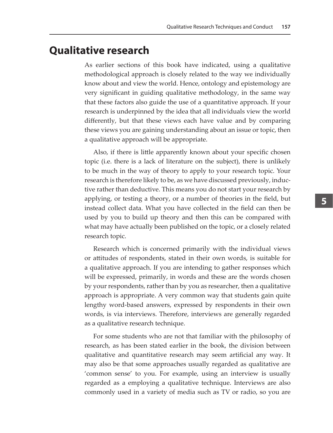## **Qualitative research**

As earlier sections of this book have indicated, using a qualitative methodological approach is closely related to the way we individually know about and view the world. Hence, ontology and epistemology are very significant in guiding qualitative methodology, in the same way that these factors also guide the use of a quantitative approach. If your research is underpinned by the idea that all individuals view the world differently, but that these views each have value and by comparing these views you are gaining understanding about an issue or topic, then a qualitative approach will be appropriate.

Also, if there is little apparently known about your specific chosen topic (i.e. there is a lack of literature on the subject), there is unlikely to be much in the way of theory to apply to your research topic. Your research is therefore likely to be, as we have discussed previously, inductive rather than deductive. This means you do not start your research by applying, or testing a theory, or a number of theories in the field, but instead collect data. What you have collected in the field can then be used by you to build up theory and then this can be compared with what may have actually been published on the topic, or a closely related research topic.

Research which is concerned primarily with the individual views or attitudes of respondents, stated in their own words, is suitable for a qualitative approach. If you are intending to gather responses which will be expressed, primarily, in words and these are the words chosen by your respondents, rather than by you as researcher, then a qualitative approach is appropriate. A very common way that students gain quite lengthy word-based answers, expressed by respondents in their own words, is via interviews. Therefore, interviews are generally regarded as a qualitative research technique.

For some students who are not that familiar with the philosophy of research, as has been stated earlier in the book, the division between qualitative and quantitative research may seem artificial any way. It may also be that some approaches usually regarded as qualitative are 'common sense' to you. For example, using an interview is usually regarded as a employing a qualitative technique. Interviews are also commonly used in a variety of media such as TV or radio, so you are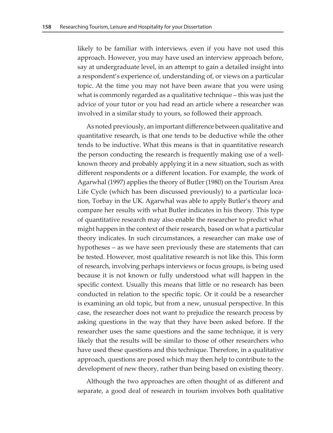likely to be familiar with interviews, even if you have not used this approach. However, you may have used an interview approach before, say at undergraduate level, in an attempt to gain a detailed insight into a respondent's experience of, understanding of, or views on a particular topic. At the time you may not have been aware that you were using what is commonly regarded as a qualitative technique – this was just the advice of your tutor or you had read an article where a researcher was involved in a similar study to yours, so followed their approach.

As noted previously, an important difference between qualitative and quantitative research, is that one tends to be deductive while the other tends to be inductive. What this means is that in quantitative research the person conducting the research is frequently making use of a wellknown theory and probably applying it in a new situation, such as with different respondents or a different location. For example, the work of Agarwhal (1997) applies the theory of Butler (1980) on the Tourism Area Life Cycle (which has been discussed previously) to a particular location, Torbay in the UK. Agarwhal was able to apply Butler's theory and compare her results with what Butler indicates in his theory. This type of quantitative research may also enable the researcher to predict what might happen in the context of their research, based on what a particular theory indicates. In such circumstances, a researcher can make use of hypotheses – as we have seen previously these are statements that can be tested. However, most qualitative research is not like this. This form of research, involving perhaps interviews or focus groups, is being used because it is not known or fully understood what will happen in the specific context. Usually this means that little or no research has been conducted in relation to the specific topic. Or it could be a researcher is examining an old topic, but from a new, unusual perspective. In this case, the researcher does not want to prejudice the research process by asking questions in the way that they have been asked before. If the researcher uses the same questions and the same technique, it is very likely that the results will be similar to those of other researchers who have used these questions and this technique. Therefore, in a qualitative approach, questions are posed which may then help to contribute to the development of new theory, rather than being based on existing theory.

Although the two approaches are often thought of as different and separate, a good deal of research in tourism involves both qualitative